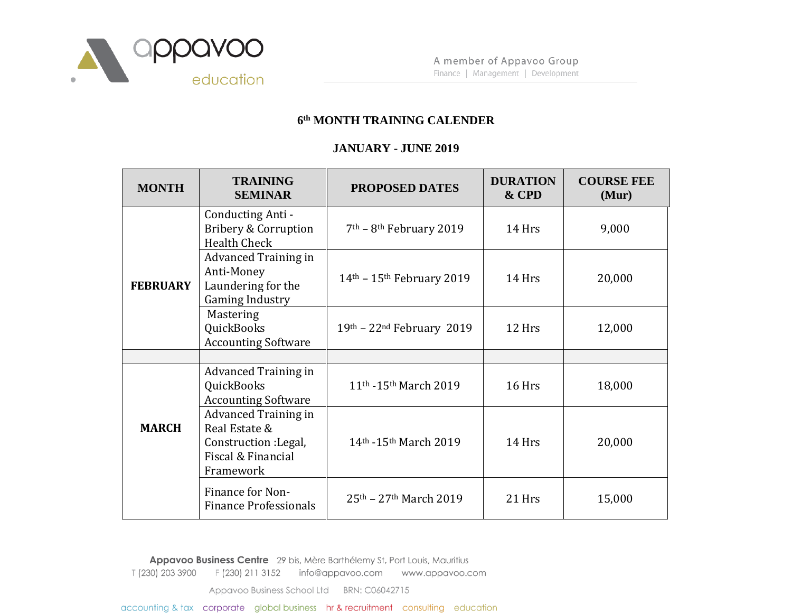

## **6 th MONTH TRAINING CALENDER**

## **JANUARY - JUNE 2019**

| <b>MONTH</b>    | <b>TRAINING</b><br><b>SEMINAR</b>                                                                        | <b>PROPOSED DATES</b>                         | <b>DURATION</b><br>& CPD | <b>COURSE FEE</b><br>(Mur) |
|-----------------|----------------------------------------------------------------------------------------------------------|-----------------------------------------------|--------------------------|----------------------------|
| <b>FEBRUARY</b> | Conducting Anti -<br><b>Bribery &amp; Corruption</b><br><b>Health Check</b>                              | $7th$ – 8 <sup>th</sup> February 2019         | 14 Hrs                   | 9,000                      |
|                 | <b>Advanced Training in</b><br>Anti-Money<br>Laundering for the<br><b>Gaming Industry</b>                | $14th$ – $15th$ February 2019                 | 14 Hrs                   | 20,000                     |
|                 | Mastering<br>QuickBooks<br><b>Accounting Software</b>                                                    | $19th - 22nd February 2019$                   | 12 Hrs                   | 12,000                     |
|                 |                                                                                                          |                                               |                          |                            |
| <b>MARCH</b>    | <b>Advanced Training in</b><br>QuickBooks<br><b>Accounting Software</b>                                  | 11 <sup>th</sup> -15 <sup>th</sup> March 2019 | 16 Hrs                   | 18,000                     |
|                 | <b>Advanced Training in</b><br>Real Estate &<br>Construction : Legal,<br>Fiscal & Financial<br>Framework | 14 <sup>th</sup> -15 <sup>th</sup> March 2019 | 14 Hrs                   | 20,000                     |
|                 | Finance for Non-<br><b>Finance Professionals</b>                                                         | $25th - 27th March 2019$                      | 21 Hrs                   | 15,000                     |

Appavoo Business Centre 29 bis, Mère Barthélemy St, Port Louis, Mauritius

T (230) 203 3900 F (230) 211 3152 info@appavoo.com www.appavoo.com

Appavoo Business School Ltd BRN: C06042715

accounting & tax corporate global business hr & recruitment consulting education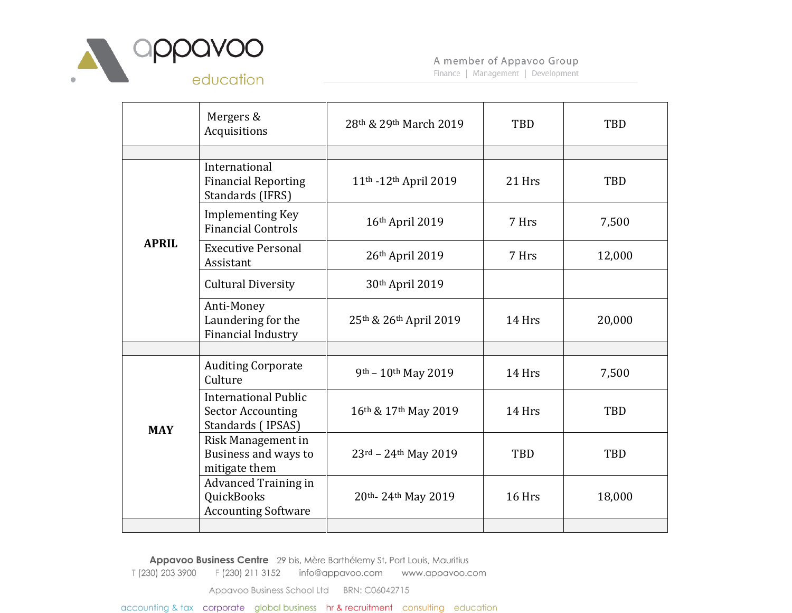

Finance | Management | Development

|              | Mergers &<br>Acquisitions                                                    | 28th & 29th March 2019                     | TBD        | TBD    |
|--------------|------------------------------------------------------------------------------|--------------------------------------------|------------|--------|
|              |                                                                              |                                            |            |        |
| <b>APRIL</b> | International<br><b>Financial Reporting</b><br>Standards (IFRS)              | 11th -12th April 2019                      | 21 Hrs     | TBD    |
|              | <b>Implementing Key</b><br><b>Financial Controls</b>                         | 16th April 2019                            | 7 Hrs      | 7,500  |
|              | <b>Executive Personal</b><br>Assistant                                       | 26th April 2019                            | 7 Hrs      | 12,000 |
|              | <b>Cultural Diversity</b>                                                    | 30th April 2019                            |            |        |
|              | Anti-Money<br>Laundering for the<br><b>Financial Industry</b>                | 25th & 26th April 2019                     | 14 Hrs     | 20,000 |
|              |                                                                              |                                            |            |        |
| <b>MAY</b>   | <b>Auditing Corporate</b><br>Culture                                         | 9th - 10th May 2019                        | 14 Hrs     | 7,500  |
|              | <b>International Public</b><br><b>Sector Accounting</b><br>Standards (IPSAS) | 16th & 17th May 2019                       | 14 Hrs     | TBD    |
|              | Risk Management in<br>Business and ways to<br>mitigate them                  | $23^{\text{rd}} - 24^{\text{th}}$ May 2019 | <b>TBD</b> | TBD    |
|              | <b>Advanced Training in</b><br>QuickBooks<br><b>Accounting Software</b>      | 20th-24th May 2019                         | 16 Hrs     | 18,000 |
|              |                                                                              |                                            |            |        |

Appavoo Business Centre 29 bis, Mère Barthélemy St, Port Louis, Mauritius

T (230) 203 3900 F (230) 211 3152 info@appavoo.com www.appavoo.com

Appavoo Business School Ltd BRN: C06042715

accounting & tax corporate global business hr & recruitment consulting education